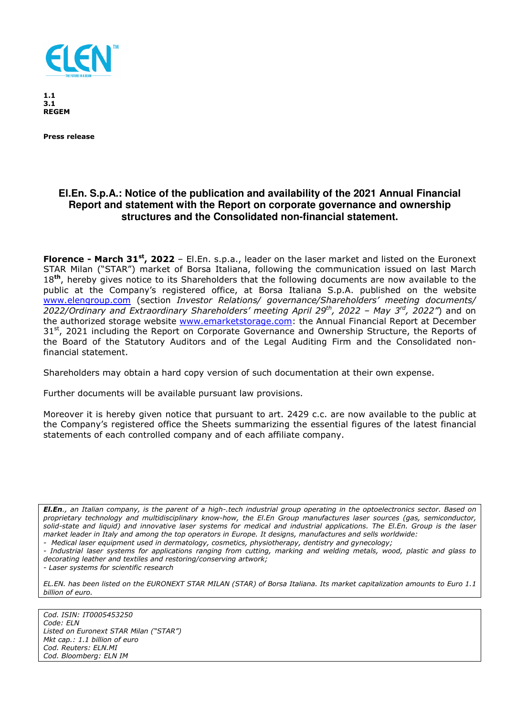

**1.1 3.1 REGEM** 

**Press release** 

## **El.En. S.p.A.: Notice of the publication and availability of the 2021 Annual Financial Report and statement with the Report on corporate governance and ownership structures and the Consolidated non-financial statement.**

**Florence - March 31st, 2022** – El.En. s.p.a., leader on the laser market and listed on the Euronext STAR Milan ("STAR") market of Borsa Italiana, following the communication issued on last March 18**th**, hereby gives notice to its Shareholders that the following documents are now available to the public at the Company's registered office, at Borsa Italiana S.p.A. published on the website www.elengroup.com (section *Investor Relations/ governance/Shareholders' meeting documents/ 2022/Ordinary and Extraordinary Shareholders' meeting April 29th, 2022 – May 3rd, 2022"*) and on the authorized storage website www.emarketstorage.com: the Annual Financial Report at December  $31<sup>st</sup>$ , 2021 including the Report on Corporate Governance and Ownership Structure, the Reports of the Board of the Statutory Auditors and of the Legal Auditing Firm and the Consolidated nonfinancial statement.

Shareholders may obtain a hard copy version of such documentation at their own expense.

Further documents will be available pursuant law provisions.

Moreover it is hereby given notice that pursuant to art. 2429 c.c. are now available to the public at the Company's registered office the Sheets summarizing the essential figures of the latest financial statements of each controlled company and of each affiliate company.

*El.En., an Italian company, is the parent of a high-.tech industrial group operating in the optoelectronics sector. Based on proprietary technology and multidisciplinary know-how, the El.En Group manufactures laser sources (gas, semiconductor, solid-state and liquid) and innovative laser systems for medical and industrial applications. The El.En. Group is the laser market leader in Italy and among the top operators in Europe. It designs, manufactures and sells worldwide:* 

*- Medical laser equipment used in dermatology, cosmetics, physiotherapy, dentistry and gynecology;* 

*- Industrial laser systems for applications ranging from cutting, marking and welding metals, wood, plastic and glass to decorating leather and textiles and restoring/conserving artwork;* 

*- Laser systems for scientific research* 

*EL.EN. has been listed on the EURONEXT STAR MILAN (STAR) of Borsa Italiana. Its market capitalization amounts to Euro 1.1 billion of euro.* 

*Cod. ISIN: IT0005453250 Code: ELN Listed on Euronext STAR Milan ("STAR") Mkt cap.: 1.1 billion of euro Cod. Reuters: ELN.MI Cod. Bloomberg: ELN IM*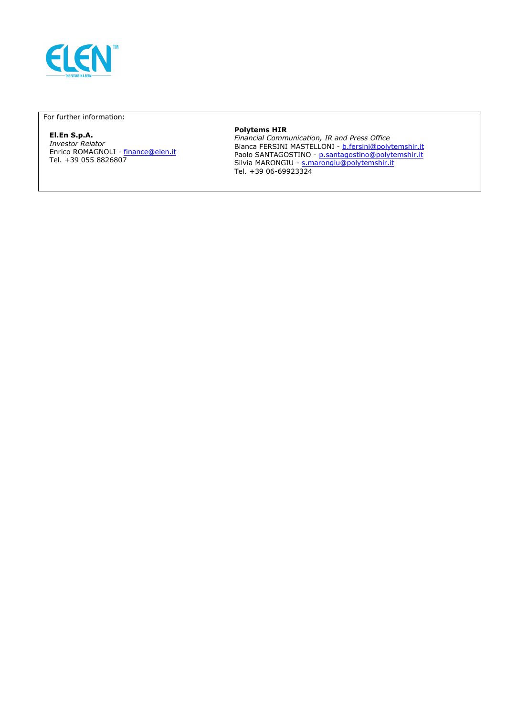

For further information:

# **El.En S.p.A.**

*Investor Relator*  Enrico ROMAGNOLI - <u>finance@elen.it</u> Tel. +39 055 8826807

#### **Polytems HIR**

*Financial Communication, IR and Press Office*  Bianca FERSINI MASTELLONI - b.fersini@polytemshir.it Paolo SANTAGOSTINO - p.santagostino@polytemshir.it Silvia MARONGIU - s.marongiu@polytemshir.it Tel. +39 06-69923324